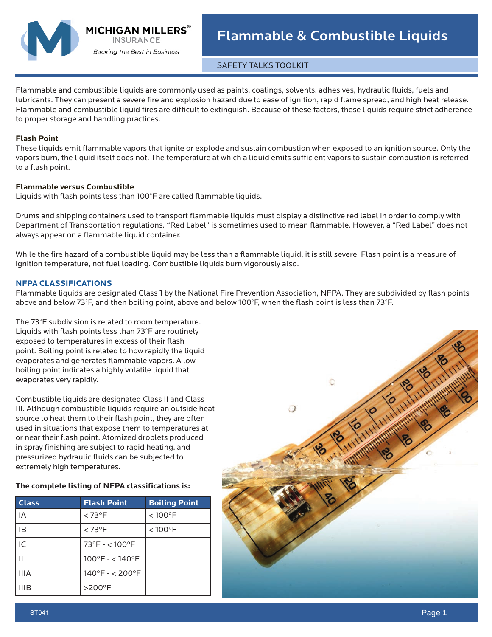

**MICHIGAN MILLERS Backing the Best in Business** 

SAFETY TALKS TOOLKIT

Flammable and combustible liquids are commonly used as paints, coatings, solvents, adhesives, hydraulic fluids, fuels and lubricants. They can present a severe fire and explosion hazard due to ease of ignition, rapid flame spread, and high heat release. Flammable and combustible liquid fires are difficult to extinguish. Because of these factors, these liquids require strict adherence to proper storage and handling practices.

## **Flash Point**

These liquids emit flammable vapors that ignite or explode and sustain combustion when exposed to an ignition source. Only the vapors burn, the liquid itself does not. The temperature at which a liquid emits sufficient vapors to sustain combustion is referred to a flash point.

### **Flammable versus Combustible**

Liquids with flash points less than 100°F are called flammable liquids.

Drums and shipping containers used to transport flammable liquids must display a distinctive red label in order to comply with Department of Transportation regulations. "Red Label" is sometimes used to mean flammable. However, a "Red Label" does not always appear on a flammable liquid container.

While the fire hazard of a combustible liquid may be less than a flammable liquid, it is still severe. Flash point is a measure of ignition temperature, not fuel loading. Combustible liquids burn vigorously also.

# **NFPA CLASSIFICATIONS**

Flammable liquids are designated Class 1 by the National Fire Prevention Association, NFPA. They are subdivided by flash points above and below 73°F, and then boiling point, above and below 100°F, when the flash point is less than 73°F.

The 73°F subdivision is related to room temperature. Liquids with flash points less than 73°F are routinely exposed to temperatures in excess of their flash point. Boiling point is related to how rapidly the liquid evaporates and generates flammable vapors. A low boiling point indicates a highly volatile liquid that evaporates very rapidly.

Combustible liquids are designated Class II and Class III. Although combustible liquids require an outside heat source to heat them to their flash point, they are often used in situations that expose them to temperatures at or near their flash point. Atomized droplets produced in spray finishing are subject to rapid heating, and pressurized hydraulic fluids can be subjected to extremely high temperatures.

# **The complete listing of NFPA classifications is:**

| <b>Class</b> | <b>Flash Point</b>                   | <b>Boiling Point</b> |
|--------------|--------------------------------------|----------------------|
| IA           | $< 73^{\circ}$ F                     | $< 100^{\circ}$ F    |
| ΙB           | $< 73^{\circ}$ F                     | $< 100^{\circ}$ F    |
| IC           | $73^{\circ}$ F - < 100 $^{\circ}$ F  |                      |
|              | $100^{\circ}F - 140^{\circ}F$        |                      |
| <b>IIIA</b>  | $140^{\circ}$ F - < 200 $^{\circ}$ F |                      |
| <b>IIIB</b>  | >200°F                               |                      |